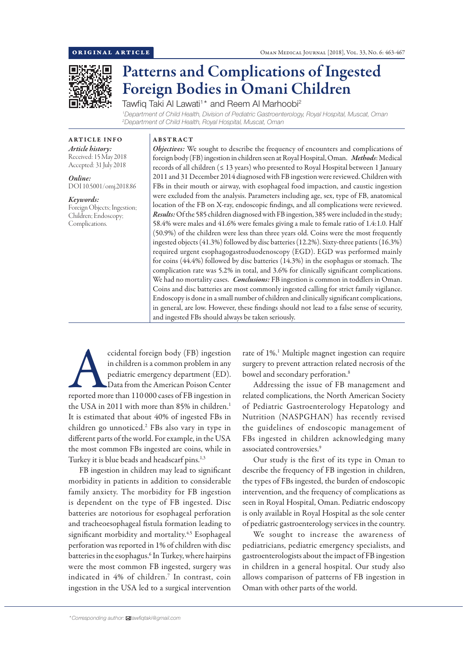

# Patterns and Complications of Ingested Foreign Bodies in Omani Children

Tawfiq Taki Al Lawati<sup>1</sup>\* and Reem Al Marhoobi<sup>2</sup> *1 Department of Child Health, Division of Pediatric Gastroenterology, Royal Hospital, Muscat, Oman 2 Department of Child Health, Royal Hospital, Muscat, Oman*

ARTICLE INFO *Article history:* Received: 15 May 2018 Accepted: 31 July 2018

*Online:* DOI 10.5001/omj.2018.86

*Keywords:*  Foreign Objects; Ingestion; Children; Endoscopy; Complications.

## ABSTRACT

*Objectives:* We sought to describe the frequency of encounters and complications of foreign body (FB) ingestion in children seen at Royal Hospital, Oman. *Methods*: Medical records of all children (≤ 13 years) who presented to Royal Hospital between 1 January 2011 and 31 December 2014 diagnosed with FB ingestion were reviewed. Children with FBs in their mouth or airway, with esophageal food impaction, and caustic ingestion were excluded from the analysis. Parameters including age, sex, type of FB, anatomical location of the FB on X-ray, endoscopic findings, and all complications were reviewed. *Results:* Of the 585 children diagnosed with FB ingestion, 385 were included in the study; 58.4% were males and 41.6% were females giving a male to female ratio of 1.4:1.0. Half (50.9%) of the children were less than three years old. Coins were the most frequently ingested objects (41.3%) followed by disc batteries (12.2%). Sixty-three patients (16.3%) required urgent esophagogastroduodenoscopy (EGD). EGD was performed mainly for coins (44.4%) followed by disc batteries (14.3%) in the esophagus or stomach. The complication rate was 5.2% in total, and 3.6% for clinically significant complications. We had no mortality cases. *Conclusions:* FB ingestion is common in toddlers in Oman. Coins and disc batteries are most commonly ingested calling for strict family vigilance. Endoscopy is done in a small number of children and clinically significant complications, in general, are low. However, these findings should not lead to a false sense of security, and ingested FBs should always be taken seriously.

ccidental foreign body (FB) ingestion<br>
in children is a common problem in any<br>
pediatric emergency department (ED).<br>
Data from the American Poison Center<br>
reported more than 110 000 cases of FB ingestion in in children is a common problem in any pediatric emergency department (ED). Data from the American Poison Center the USA in 2011 with more than 85% in children.<sup>1</sup> It is estimated that about 40% of ingested FBs in children go unnoticed.2 FBs also vary in type in different parts of the world. For example, in the USA the most common FBs ingested are coins, while in Turkey it is blue beads and headscarf pins.<sup>1,3</sup>

FB ingestion in children may lead to significant morbidity in patients in addition to considerable family anxiety. The morbidity for FB ingestion is dependent on the type of FB ingested. Disc batteries are notorious for esophageal perforation and tracheoesophageal fistula formation leading to significant morbidity and mortality.<sup>4,5</sup> Esophageal perforation was reported in 1% of children with disc batteries in the esophagus.6 In Turkey, where hairpins were the most common FB ingested, surgery was indicated in 4% of children.7 In contrast, coin ingestion in the USA led to a surgical intervention

rate of 1%.<sup>1</sup> Multiple magnet ingestion can require surgery to prevent attraction related necrosis of the bowel and secondary perforation.<sup>8</sup>

Addressing the issue of FB management and related complications, the North American Society of Pediatric Gastroenterology Hepatology and Nutrition (NASPGHAN) has recently revised the guidelines of endoscopic management of FBs ingested in children acknowledging many associated controversies.9

Our study is the first of its type in Oman to describe the frequency of FB ingestion in children, the types of FBs ingested, the burden of endoscopic intervention, and the frequency of complications as seen in Royal Hospital, Oman. Pediatric endoscopy is only available in Royal Hospital as the sole center of pediatric gastroenterology services in the country.

We sought to increase the awareness of pediatricians, pediatric emergency specialists, and gastroenterologists about the impact of FB ingestion in children in a general hospital. Our study also allows comparison of patterns of FB ingestion in Oman with other parts of the world.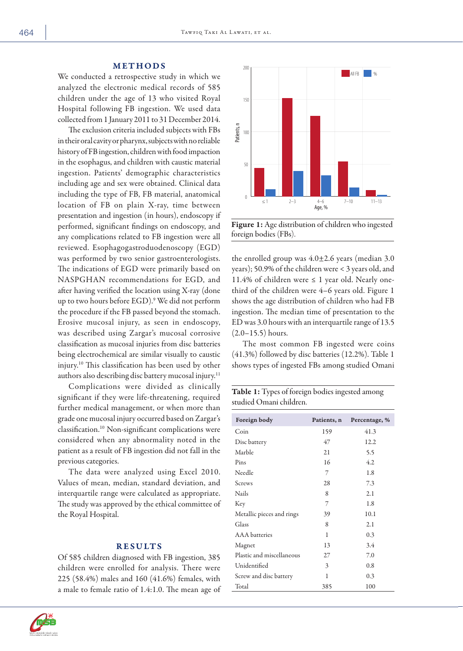#### METHODS

We conducted a retrospective study in which we analyzed the electronic medical records of 585 children under the age of 13 who visited Royal Hospital following FB ingestion. We used data collected from 1 January 2011 to 31 December 2014.

The exclusion criteria included subjects with FBs in their oral cavity or pharynx, subjects with no reliable history of FB ingestion, children with food impaction in the esophagus, and children with caustic material ingestion. Patients' demographic characteristics including age and sex were obtained. Clinical data including the type of FB, FB material, anatomical location of FB on plain X-ray, time between presentation and ingestion (in hours), endoscopy if performed, significant findings on endoscopy, and any complications related to FB ingestion were all reviewed. Esophagogastroduodenoscopy (EGD) was performed by two senior gastroenterologists. The indications of EGD were primarily based on NASPGHAN recommendations for EGD, and after having verified the location using X-ray (done up to two hours before EGD).9 We did not perform the procedure if the FB passed beyond the stomach. Erosive mucosal injury, as seen in endoscopy, was described using Zargar's mucosal corrosive classification as mucosal injuries from disc batteries being electrochemical are similar visually to caustic injury.10 This classification has been used by other authors also describing disc battery mucosal injury.11

Complications were divided as clinically significant if they were life-threatening, required further medical management, or when more than grade one mucosal injury occurred based on Zargar's classification.10 Non-significant complications were considered when any abnormality noted in the patient as a result of FB ingestion did not fall in the previous categories.

The data were analyzed using Excel 2010. Values of mean, median, standard deviation, and interquartile range were calculated as appropriate. The study was approved by the ethical committee of the Royal Hospital.

#### RESULTS

Of 585 children diagnosed with FB ingestion, 385 children were enrolled for analysis. There were 225 (58.4%) males and 160 (41.6%) females, with a male to female ratio of 1.4:1.0. The mean age of



Figure 1: Age distribution of children who ingested foreign bodies (FBs).

the enrolled group was  $4.0\pm2.6$  years (median 3.0) years); 50.9% of the children were < 3 years old, and 11.4% of children were  $\leq 1$  year old. Nearly onethird of the children were 4–6 years old. Figure 1 shows the age distribution of children who had FB ingestion. The median time of presentation to the ED was 3.0 hours with an interquartile range of 13.5 (2.0–15.5) hours.

The most common FB ingested were coins (41.3%) followed by disc batteries (12.2%). Table 1 shows types of ingested FBs among studied Omani

| Table 1: Types of foreign bodies ingested among |  |
|-------------------------------------------------|--|
| studied Omani children.                         |  |

| Foreign body              | Patients, n | Percentage, % |  |
|---------------------------|-------------|---------------|--|
| Coin                      | 159         | 41.3          |  |
| Disc battery              | 47          | 12.2          |  |
| Marble                    | 21          | 5.5           |  |
| Pins                      | 16          | 4.2           |  |
| Needle                    | 7           | 1.8           |  |
| Screws                    | 28          | 7.3           |  |
| <b>Nails</b>              | 8           | 2.1           |  |
| Key                       | 7           | 1.8           |  |
| Metallic pieces and rings | 39          | 10.1          |  |
| Glass                     | 8           | 2.1           |  |
| <b>AAA</b> batteries      | 1           | 0.3           |  |
| Magnet                    | 13          | 3.4           |  |
| Plastic and miscellaneous | 27          | 7.0           |  |
| Unidentified              | 3           | 0.8           |  |
| Screw and disc battery    | 1           | 0.3           |  |
| Total                     | 385         | 100           |  |

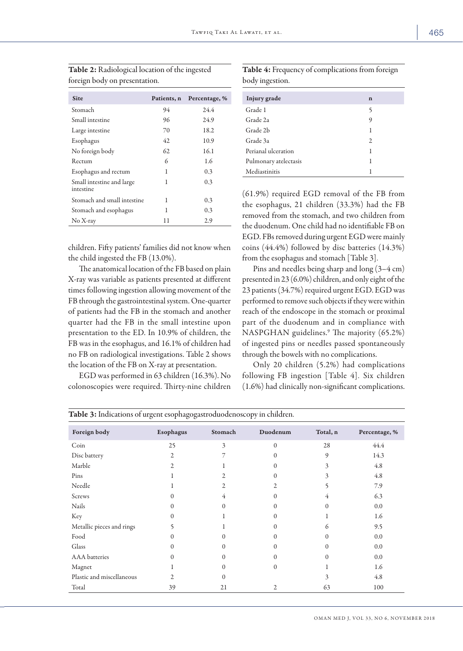| <b>Site</b>                            | Patients, n | Percentage, % |
|----------------------------------------|-------------|---------------|
| Stomach                                | 94          | 24.4          |
| Small intestine                        | 96          | 24.9          |
| Large intestine                        | 70          | 18.2          |
| Esophagus                              | 42          | 10.9          |
| No foreign body                        | 62          | 16.1          |
| Rectum                                 | 6           | 1.6           |
| Esophagus and rectum                   | 1           | 0.3           |
| Small intestine and large<br>intestine | 1           | 0.3           |
| Stomach and small intestine            | 1           | 0.3           |
| Stomach and esophagus                  | 1           | 0.3           |
| $No X-ray$                             | 11          | 2.9           |

Table 2: Radiological location of the ingested foreign body on presentation.

children. Fifty patients' families did not know when the child ingested the FB (13.0%).

The anatomical location of the FB based on plain X-ray was variable as patients presented at different times following ingestion allowing movement of the FB through the gastrointestinal system. One-quarter of patients had the FB in the stomach and another quarter had the FB in the small intestine upon presentation to the ED. In 10.9% of children, the FB was in the esophagus, and 16.1% of children had no FB on radiological investigations. Table 2 shows the location of the FB on X-ray at presentation.

EGD was performed in 63 children (16.3%). No colonoscopies were required. Thirty-nine children

Table 4: Frequency of complications from foreign body ingestion.

| Injury grade          | n |
|-----------------------|---|
| Grade 1               | 5 |
| Grade 2a              | 9 |
| Grade 2b              | 1 |
| Grade 3a              | 2 |
| Perianal ulceration   | 1 |
| Pulmonary atelectasis | 1 |
| Mediastinitis         |   |

(61.9%) required EGD removal of the FB from the esophagus, 21 children (33.3%) had the FB removed from the stomach, and two children from the duodenum. One child had no identifiable FB on EGD. FBs removed during urgent EGD were mainly coins (44.4%) followed by disc batteries (14.3%) from the esophagus and stomach [Table 3].

Pins and needles being sharp and long (3–4 cm) presented in 23 (6.0%) children, and only eight of the 23 patients (34.7%) required urgent EGD. EGD was performed to remove such objects if they were within reach of the endoscope in the stomach or proximal part of the duodenum and in compliance with NASPGHAN guidelines.9 The majority (65.2%) of ingested pins or needles passed spontaneously through the bowels with no complications.

Only 20 children (5.2%) had complications following FB ingestion [Table 4]. Six children (1.6%) had clinically non-significant complications.

| Foreign body              | Esophagus      | Stomach        | Duodenum | Total, n | Percentage, % |
|---------------------------|----------------|----------------|----------|----------|---------------|
| Coin                      | 25             | 3              | $\Omega$ | 28       | 44.4          |
| Disc battery              | $\overline{2}$ | 7              | 0        | 9        | 14.3          |
| Marble                    | 2              |                | $\Omega$ | 3        | 4.8           |
| Pins                      |                | $\overline{2}$ | $\Omega$ | 3        | 4.8           |
| Needle                    |                | $\overline{2}$ | 2        | 5        | 7.9           |
| Screws                    | $\Omega$       | $\overline{4}$ | 0        | 4        | 6.3           |
| Nails                     | $\Omega$       | $\Omega$       | 0        | $\Omega$ | 0.0           |
| Key                       | $\Omega$       |                | 0        |          | 1.6           |
| Metallic pieces and rings | 5              |                | $\Omega$ | 6        | 9.5           |
| Food                      | $\Omega$       | $\Omega$       | 0        | $\Omega$ | 0.0           |
| Glass                     | $\Omega$       | $\Omega$       | 0        | $\Omega$ | 0.0           |
| <b>AAA</b> batteries      | 0              | $\Omega$       | 0        | $\Omega$ | 0.0           |
| Magnet                    |                | $\Omega$       | $\Omega$ |          | 1.6           |
| Plastic and miscellaneous | $\overline{c}$ | $\mathbf{0}$   |          | 3        | 4.8           |
| Total                     | 39             | 21             | 2        | 63       | 100           |

Table 3: Indications of urgent esophagogastroduodenoscopy in children.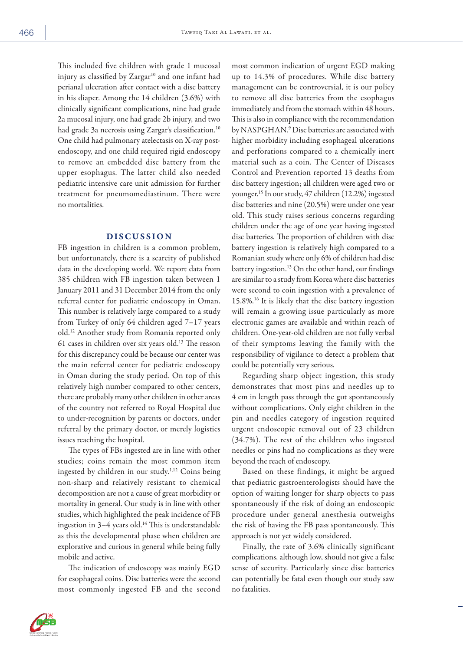This included five children with grade 1 mucosal injury as classified by  $Zargar^{10}$  and one infant had perianal ulceration after contact with a disc battery in his diaper. Among the 14 children (3.6%) with clinically significant complications, nine had grade 2a mucosal injury, one had grade 2b injury, and two had grade 3a necrosis using Zargar's classification.<sup>10</sup> One child had pulmonary atelectasis on X-ray postendoscopy, and one child required rigid endoscopy to remove an embedded disc battery from the upper esophagus. The latter child also needed pediatric intensive care unit admission for further treatment for pneumomediastinum. There were no mortalities.

#### DISCUSSION

FB ingestion in children is a common problem, but unfortunately, there is a scarcity of published data in the developing world. We report data from 385 children with FB ingestion taken between 1 January 2011 and 31 December 2014 from the only referral center for pediatric endoscopy in Oman. This number is relatively large compared to a study from Turkey of only 64 children aged 7–17 years old.12 Another study from Romania reported only 61 cases in children over six years old.13 The reason for this discrepancy could be because our center was the main referral center for pediatric endoscopy in Oman during the study period. On top of this relatively high number compared to other centers, there are probably many other children in other areas of the country not referred to Royal Hospital due to under-recognition by parents or doctors, under referral by the primary doctor, or merely logistics issues reaching the hospital.

The types of FBs ingested are in line with other studies; coins remain the most common item ingested by children in our study.1,12 Coins being non-sharp and relatively resistant to chemical decomposition are not a cause of great morbidity or mortality in general. Our study is in line with other studies, which highlighted the peak incidence of FB ingestion in  $3-4$  years old.<sup>14</sup> This is understandable as this the developmental phase when children are explorative and curious in general while being fully mobile and active.

The indication of endoscopy was mainly EGD for esophageal coins. Disc batteries were the second most commonly ingested FB and the second most common indication of urgent EGD making up to 14.3% of procedures. While disc battery management can be controversial, it is our policy to remove all disc batteries from the esophagus immediately and from the stomach within 48 hours. This is also in compliance with the recommendation by NASPGHAN.9 Disc batteries are associated with higher morbidity including esophageal ulcerations and perforations compared to a chemically inert material such as a coin. The Center of Diseases Control and Prevention reported 13 deaths from disc battery ingestion; all children were aged two or younger.15 In our study, 47 children (12.2%) ingested disc batteries and nine (20.5%) were under one year old. This study raises serious concerns regarding children under the age of one year having ingested disc batteries. The proportion of children with disc battery ingestion is relatively high compared to a Romanian study where only 6% of children had disc battery ingestion.<sup>13</sup> On the other hand, our findings are similar to a study from Korea where disc batteries were second to coin ingestion with a prevalence of 15.8%.16 It is likely that the disc battery ingestion will remain a growing issue particularly as more electronic games are available and within reach of children. One-year-old children are not fully verbal of their symptoms leaving the family with the responsibility of vigilance to detect a problem that could be potentially very serious.

Regarding sharp object ingestion, this study demonstrates that most pins and needles up to 4 cm in length pass through the gut spontaneously without complications. Only eight children in the pin and needles category of ingestion required urgent endoscopic removal out of 23 children (34.7%). The rest of the children who ingested needles or pins had no complications as they were beyond the reach of endoscopy.

Based on these findings, it might be argued that pediatric gastroenterologists should have the option of waiting longer for sharp objects to pass spontaneously if the risk of doing an endoscopic procedure under general anesthesia outweighs the risk of having the FB pass spontaneously. This approach is not yet widely considered.

Finally, the rate of 3.6% clinically significant complications, although low, should not give a false sense of security. Particularly since disc batteries can potentially be fatal even though our study saw no fatalities.